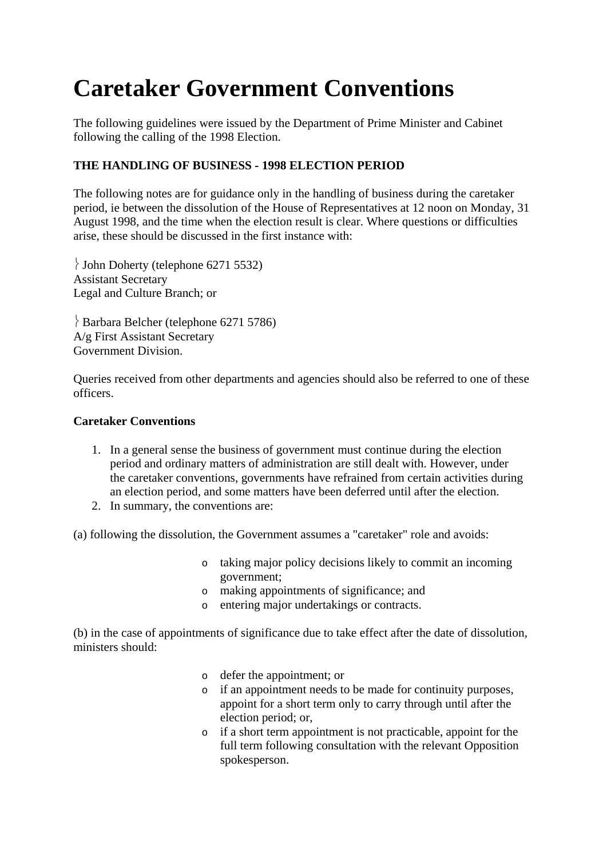# **Caretaker Government Conventions**

The following guidelines were issued by the Department of Prime Minister and Cabinet following the calling of the 1998 Election.

## **THE HANDLING OF BUSINESS - 1998 ELECTION PERIOD**

The following notes are for guidance only in the handling of business during the caretaker period, ie between the dissolution of the House of Representatives at 12 noon on Monday, 31 August 1998, and the time when the election result is clear. Where questions or difficulties arise, these should be discussed in the first instance with:

 $\big\}$  John Doherty (telephone 6271 5532) Assistant Secretary Legal and Culture Branch; or

 Barbara Belcher (telephone 6271 5786) A/g First Assistant Secretary Government Division.

Queries received from other departments and agencies should also be referred to one of these officers.

## **Caretaker Conventions**

- 1. In a general sense the business of government must continue during the election period and ordinary matters of administration are still dealt with. However, under the caretaker conventions, governments have refrained from certain activities during an election period, and some matters have been deferred until after the election.
- 2. In summary, the conventions are:

(a) following the dissolution, the Government assumes a "caretaker" role and avoids:

- o taking major policy decisions likely to commit an incoming government;
- o making appointments of significance; and
- o entering major undertakings or contracts.

(b) in the case of appointments of significance due to take effect after the date of dissolution, ministers should:

- o defer the appointment; or
- o if an appointment needs to be made for continuity purposes, appoint for a short term only to carry through until after the election period; or,
- o if a short term appointment is not practicable, appoint for the full term following consultation with the relevant Opposition spokesperson.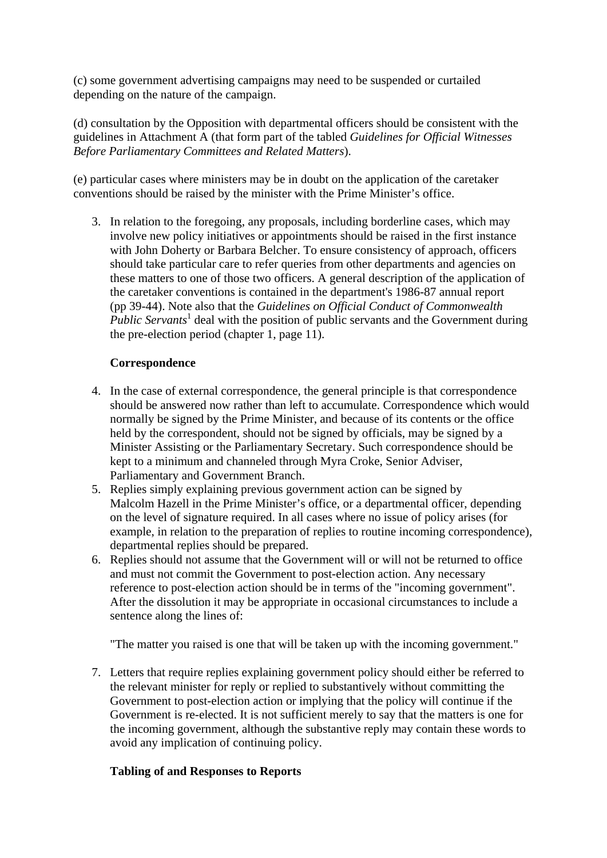(c) some government advertising campaigns may need to be suspended or curtailed depending on the nature of the campaign.

(d) consultation by the Opposition with departmental officers should be consistent with the guidelines in Attachment A (that form part of the tabled *Guidelines for Official Witnesses Before Parliamentary Committees and Related Matters*).

(e) particular cases where ministers may be in doubt on the application of the caretaker conventions should be raised by the minister with the Prime Minister's office.

3. In relation to the foregoing, any proposals, including borderline cases, which may involve new policy initiatives or appointments should be raised in the first instance with John Doherty or Barbara Belcher. To ensure consistency of approach, officers should take particular care to refer queries from other departments and agencies on these matters to one of those two officers. A general description of the application of the caretaker conventions is contained in the department's 1986-87 annual report (pp 39-44). Note also that the *Guidelines on Official Conduct of Commonwealth Public Servants*<sup>1</sup> deal with the position of public servants and the Government during the pre-election period (chapter 1, page 11).

#### **Correspondence**

- 4. In the case of external correspondence, the general principle is that correspondence should be answered now rather than left to accumulate. Correspondence which would normally be signed by the Prime Minister, and because of its contents or the office held by the correspondent, should not be signed by officials, may be signed by a Minister Assisting or the Parliamentary Secretary. Such correspondence should be kept to a minimum and channeled through Myra Croke, Senior Adviser, Parliamentary and Government Branch.
- 5. Replies simply explaining previous government action can be signed by Malcolm Hazell in the Prime Minister's office, or a departmental officer, depending on the level of signature required. In all cases where no issue of policy arises (for example, in relation to the preparation of replies to routine incoming correspondence), departmental replies should be prepared.
- 6. Replies should not assume that the Government will or will not be returned to office and must not commit the Government to post-election action. Any necessary reference to post-election action should be in terms of the "incoming government". After the dissolution it may be appropriate in occasional circumstances to include a sentence along the lines of:

"The matter you raised is one that will be taken up with the incoming government."

7. Letters that require replies explaining government policy should either be referred to the relevant minister for reply or replied to substantively without committing the Government to post-election action or implying that the policy will continue if the Government is re-elected. It is not sufficient merely to say that the matters is one for the incoming government, although the substantive reply may contain these words to avoid any implication of continuing policy.

## **Tabling of and Responses to Reports**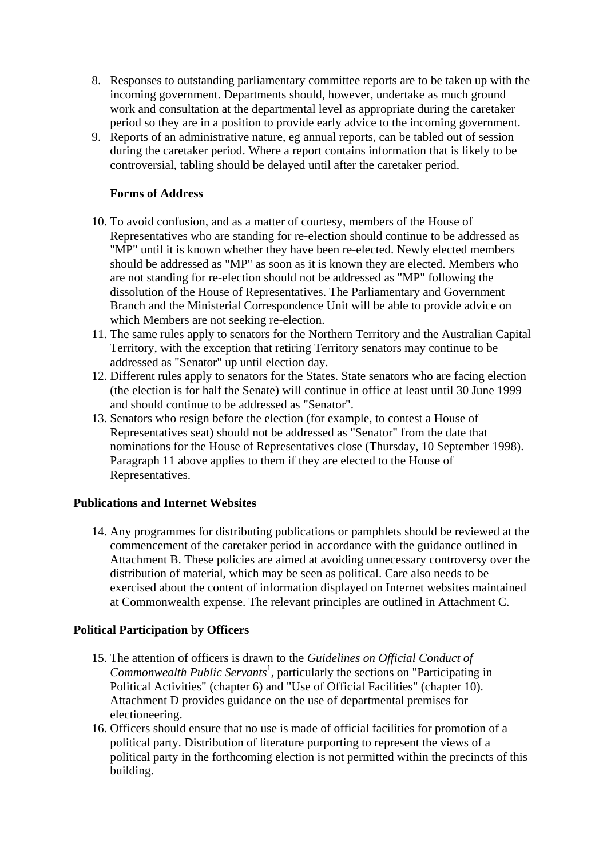- 8. Responses to outstanding parliamentary committee reports are to be taken up with the incoming government. Departments should, however, undertake as much ground work and consultation at the departmental level as appropriate during the caretaker period so they are in a position to provide early advice to the incoming government.
- 9. Reports of an administrative nature, eg annual reports, can be tabled out of session during the caretaker period. Where a report contains information that is likely to be controversial, tabling should be delayed until after the caretaker period.

#### **Forms of Address**

- 10. To avoid confusion, and as a matter of courtesy, members of the House of Representatives who are standing for re-election should continue to be addressed as "MP" until it is known whether they have been re-elected. Newly elected members should be addressed as "MP" as soon as it is known they are elected. Members who are not standing for re-election should not be addressed as "MP" following the dissolution of the House of Representatives. The Parliamentary and Government Branch and the Ministerial Correspondence Unit will be able to provide advice on which Members are not seeking re-election.
- 11. The same rules apply to senators for the Northern Territory and the Australian Capital Territory, with the exception that retiring Territory senators may continue to be addressed as "Senator" up until election day.
- 12. Different rules apply to senators for the States. State senators who are facing election (the election is for half the Senate) will continue in office at least until 30 June 1999 and should continue to be addressed as "Senator".
- 13. Senators who resign before the election (for example, to contest a House of Representatives seat) should not be addressed as "Senator" from the date that nominations for the House of Representatives close (Thursday, 10 September 1998). Paragraph 11 above applies to them if they are elected to the House of Representatives.

#### **Publications and Internet Websites**

14. Any programmes for distributing publications or pamphlets should be reviewed at the commencement of the caretaker period in accordance with the guidance outlined in Attachment B. These policies are aimed at avoiding unnecessary controversy over the distribution of material, which may be seen as political. Care also needs to be exercised about the content of information displayed on Internet websites maintained at Commonwealth expense. The relevant principles are outlined in Attachment C.

## **Political Participation by Officers**

- 15. The attention of officers is drawn to the *Guidelines on Official Conduct of*  Commonwealth Public Servants<sup>1</sup>, particularly the sections on "Participating in Political Activities" (chapter 6) and "Use of Official Facilities" (chapter 10). Attachment D provides guidance on the use of departmental premises for electioneering.
- 16. Officers should ensure that no use is made of official facilities for promotion of a political party. Distribution of literature purporting to represent the views of a political party in the forthcoming election is not permitted within the precincts of this building.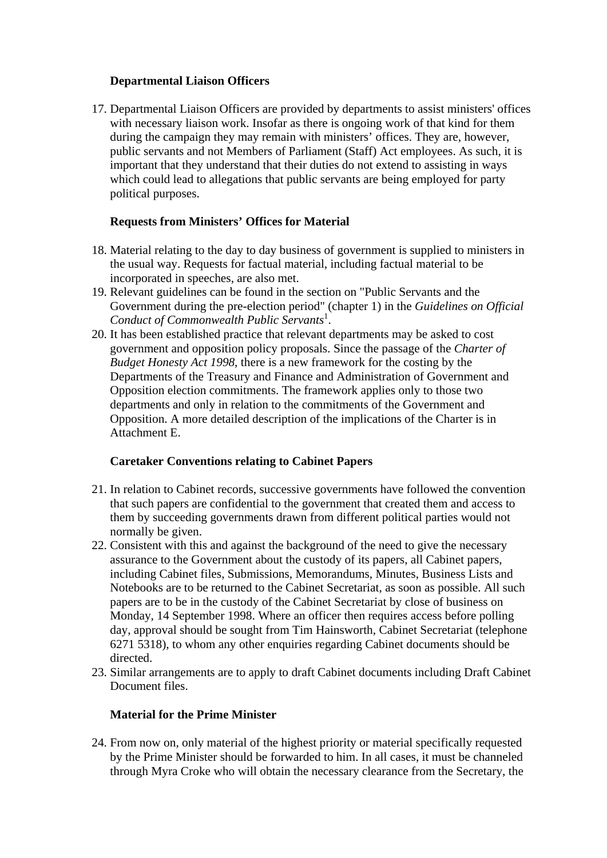## **Departmental Liaison Officers**

17. Departmental Liaison Officers are provided by departments to assist ministers' offices with necessary liaison work. Insofar as there is ongoing work of that kind for them during the campaign they may remain with ministers' offices. They are, however, public servants and not Members of Parliament (Staff) Act employees. As such, it is important that they understand that their duties do not extend to assisting in ways which could lead to allegations that public servants are being employed for party political purposes.

## **Requests from Ministers' Offices for Material**

- 18. Material relating to the day to day business of government is supplied to ministers in the usual way. Requests for factual material, including factual material to be incorporated in speeches, are also met.
- 19. Relevant guidelines can be found in the section on "Public Servants and the Government during the pre-election period" (chapter 1) in the *Guidelines on Official*  Conduct of Commonwealth Public Servants<sup>1</sup>.
- 20. It has been established practice that relevant departments may be asked to cost government and opposition policy proposals. Since the passage of the *Charter of Budget Honesty Act 1998*, there is a new framework for the costing by the Departments of the Treasury and Finance and Administration of Government and Opposition election commitments. The framework applies only to those two departments and only in relation to the commitments of the Government and Opposition. A more detailed description of the implications of the Charter is in Attachment E.

## **Caretaker Conventions relating to Cabinet Papers**

- 21. In relation to Cabinet records, successive governments have followed the convention that such papers are confidential to the government that created them and access to them by succeeding governments drawn from different political parties would not normally be given.
- 22. Consistent with this and against the background of the need to give the necessary assurance to the Government about the custody of its papers, all Cabinet papers, including Cabinet files, Submissions, Memorandums, Minutes, Business Lists and Notebooks are to be returned to the Cabinet Secretariat, as soon as possible. All such papers are to be in the custody of the Cabinet Secretariat by close of business on Monday, 14 September 1998. Where an officer then requires access before polling day, approval should be sought from Tim Hainsworth, Cabinet Secretariat (telephone 6271 5318), to whom any other enquiries regarding Cabinet documents should be directed.
- 23. Similar arrangements are to apply to draft Cabinet documents including Draft Cabinet Document files.

#### **Material for the Prime Minister**

24. From now on, only material of the highest priority or material specifically requested by the Prime Minister should be forwarded to him. In all cases, it must be channeled through Myra Croke who will obtain the necessary clearance from the Secretary, the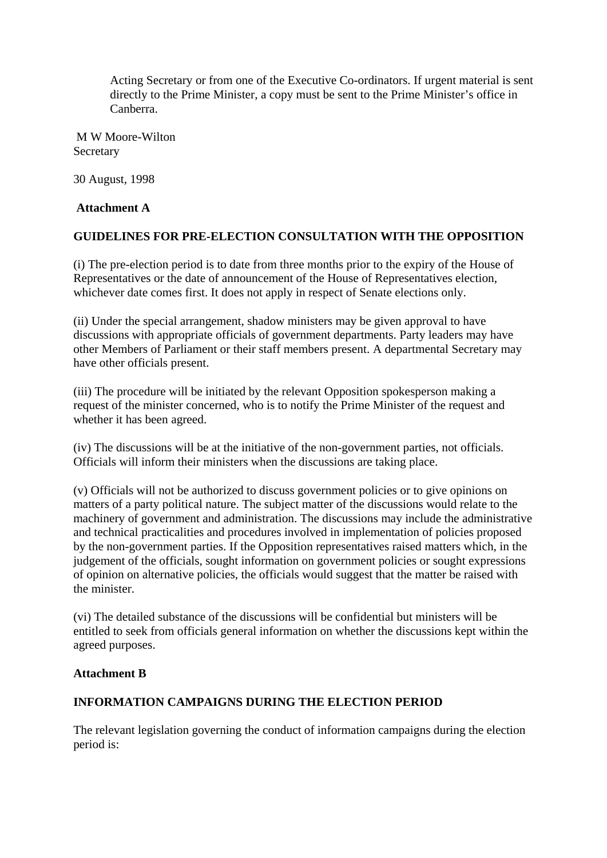Acting Secretary or from one of the Executive Co-ordinators. If urgent material is sent directly to the Prime Minister, a copy must be sent to the Prime Minister's office in Canberra.

 M W Moore-Wilton **Secretary** 

30 August, 1998

## **Attachment A**

## **GUIDELINES FOR PRE-ELECTION CONSULTATION WITH THE OPPOSITION**

(i) The pre-election period is to date from three months prior to the expiry of the House of Representatives or the date of announcement of the House of Representatives election, whichever date comes first. It does not apply in respect of Senate elections only.

(ii) Under the special arrangement, shadow ministers may be given approval to have discussions with appropriate officials of government departments. Party leaders may have other Members of Parliament or their staff members present. A departmental Secretary may have other officials present.

(iii) The procedure will be initiated by the relevant Opposition spokesperson making a request of the minister concerned, who is to notify the Prime Minister of the request and whether it has been agreed.

(iv) The discussions will be at the initiative of the non-government parties, not officials. Officials will inform their ministers when the discussions are taking place.

(v) Officials will not be authorized to discuss government policies or to give opinions on matters of a party political nature. The subject matter of the discussions would relate to the machinery of government and administration. The discussions may include the administrative and technical practicalities and procedures involved in implementation of policies proposed by the non-government parties. If the Opposition representatives raised matters which, in the judgement of the officials, sought information on government policies or sought expressions of opinion on alternative policies, the officials would suggest that the matter be raised with the minister.

(vi) The detailed substance of the discussions will be confidential but ministers will be entitled to seek from officials general information on whether the discussions kept within the agreed purposes.

## **Attachment B**

## **INFORMATION CAMPAIGNS DURING THE ELECTION PERIOD**

The relevant legislation governing the conduct of information campaigns during the election period is: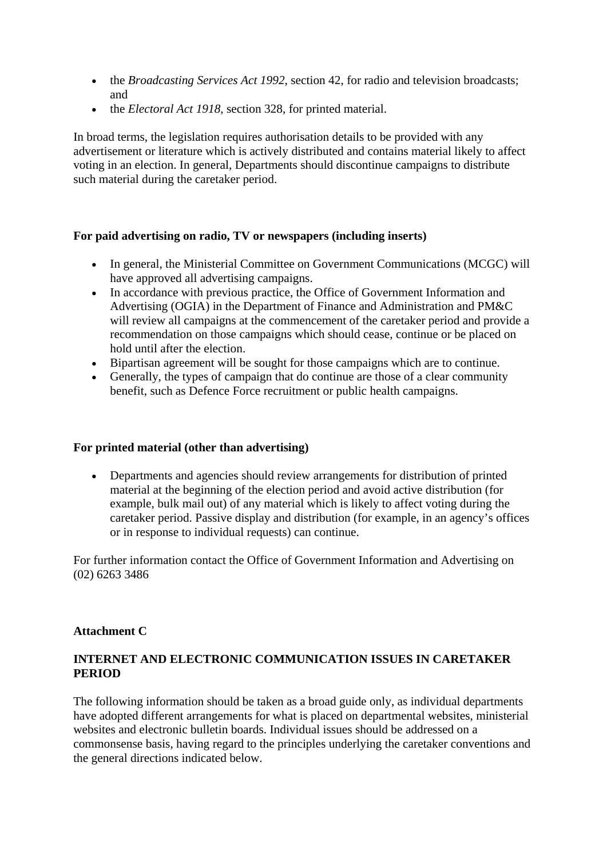- the *Broadcasting Services Act 1992*, section 42, for radio and television broadcasts; and
- the *Electoral Act 1918*, section 328, for printed material.

In broad terms, the legislation requires authorisation details to be provided with any advertisement or literature which is actively distributed and contains material likely to affect voting in an election. In general, Departments should discontinue campaigns to distribute such material during the caretaker period.

## **For paid advertising on radio, TV or newspapers (including inserts)**

- In general, the Ministerial Committee on Government Communications (MCGC) will have approved all advertising campaigns.
- In accordance with previous practice, the Office of Government Information and Advertising (OGIA) in the Department of Finance and Administration and PM&C will review all campaigns at the commencement of the caretaker period and provide a recommendation on those campaigns which should cease, continue or be placed on hold until after the election.
- Bipartisan agreement will be sought for those campaigns which are to continue.
- Generally, the types of campaign that do continue are those of a clear community benefit, such as Defence Force recruitment or public health campaigns.

#### **For printed material (other than advertising)**

 Departments and agencies should review arrangements for distribution of printed material at the beginning of the election period and avoid active distribution (for example, bulk mail out) of any material which is likely to affect voting during the caretaker period. Passive display and distribution (for example, in an agency's offices or in response to individual requests) can continue.

For further information contact the Office of Government Information and Advertising on (02) 6263 3486

#### **Attachment C**

## **INTERNET AND ELECTRONIC COMMUNICATION ISSUES IN CARETAKER PERIOD**

The following information should be taken as a broad guide only, as individual departments have adopted different arrangements for what is placed on departmental websites, ministerial websites and electronic bulletin boards. Individual issues should be addressed on a commonsense basis, having regard to the principles underlying the caretaker conventions and the general directions indicated below.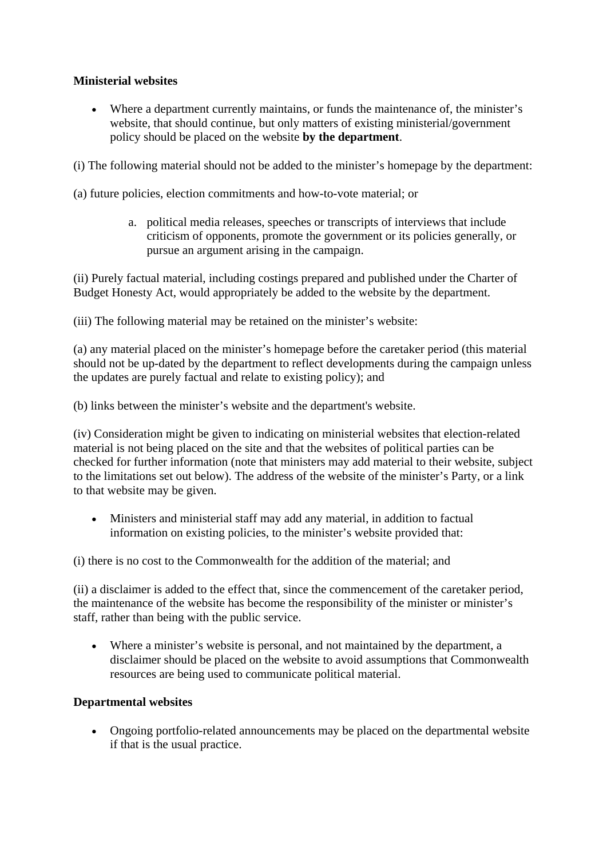## **Ministerial websites**

 Where a department currently maintains, or funds the maintenance of, the minister's website, that should continue, but only matters of existing ministerial/government policy should be placed on the website **by the department**.

(i) The following material should not be added to the minister's homepage by the department:

(a) future policies, election commitments and how-to-vote material; or

a. political media releases, speeches or transcripts of interviews that include criticism of opponents, promote the government or its policies generally, or pursue an argument arising in the campaign.

(ii) Purely factual material, including costings prepared and published under the Charter of Budget Honesty Act, would appropriately be added to the website by the department.

(iii) The following material may be retained on the minister's website:

(a) any material placed on the minister's homepage before the caretaker period (this material should not be up-dated by the department to reflect developments during the campaign unless the updates are purely factual and relate to existing policy); and

(b) links between the minister's website and the department's website.

(iv) Consideration might be given to indicating on ministerial websites that election-related material is not being placed on the site and that the websites of political parties can be checked for further information (note that ministers may add material to their website, subject to the limitations set out below). The address of the website of the minister's Party, or a link to that website may be given.

 Ministers and ministerial staff may add any material, in addition to factual information on existing policies, to the minister's website provided that:

(i) there is no cost to the Commonwealth for the addition of the material; and

(ii) a disclaimer is added to the effect that, since the commencement of the caretaker period, the maintenance of the website has become the responsibility of the minister or minister's staff, rather than being with the public service.

 Where a minister's website is personal, and not maintained by the department, a disclaimer should be placed on the website to avoid assumptions that Commonwealth resources are being used to communicate political material.

## **Departmental websites**

 Ongoing portfolio-related announcements may be placed on the departmental website if that is the usual practice.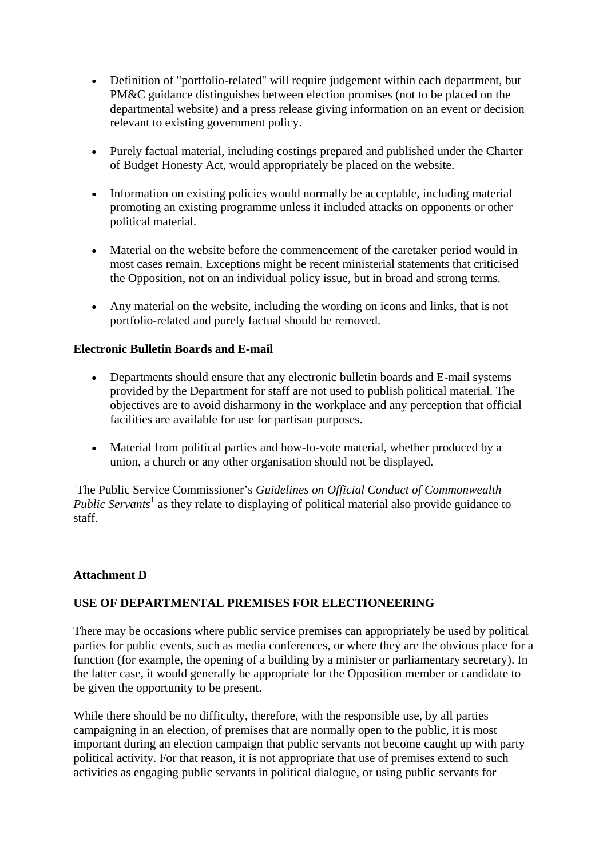- Definition of "portfolio-related" will require judgement within each department, but PM&C guidance distinguishes between election promises (not to be placed on the departmental website) and a press release giving information on an event or decision relevant to existing government policy.
- Purely factual material, including costings prepared and published under the Charter of Budget Honesty Act, would appropriately be placed on the website.
- Information on existing policies would normally be acceptable, including material promoting an existing programme unless it included attacks on opponents or other political material.
- Material on the website before the commencement of the caretaker period would in most cases remain. Exceptions might be recent ministerial statements that criticised the Opposition, not on an individual policy issue, but in broad and strong terms.
- Any material on the website, including the wording on icons and links, that is not portfolio-related and purely factual should be removed.

#### **Electronic Bulletin Boards and E-mail**

- Departments should ensure that any electronic bulletin boards and E-mail systems provided by the Department for staff are not used to publish political material. The objectives are to avoid disharmony in the workplace and any perception that official facilities are available for use for partisan purposes.
- Material from political parties and how-to-vote material, whether produced by a union, a church or any other organisation should not be displayed.

 The Public Service Commissioner's *Guidelines on Official Conduct of Commonwealth*  Public Servants<sup>1</sup> as they relate to displaying of political material also provide guidance to staff.

#### **Attachment D**

#### **USE OF DEPARTMENTAL PREMISES FOR ELECTIONEERING**

There may be occasions where public service premises can appropriately be used by political parties for public events, such as media conferences, or where they are the obvious place for a function (for example, the opening of a building by a minister or parliamentary secretary). In the latter case, it would generally be appropriate for the Opposition member or candidate to be given the opportunity to be present.

While there should be no difficulty, therefore, with the responsible use, by all parties campaigning in an election, of premises that are normally open to the public, it is most important during an election campaign that public servants not become caught up with party political activity. For that reason, it is not appropriate that use of premises extend to such activities as engaging public servants in political dialogue, or using public servants for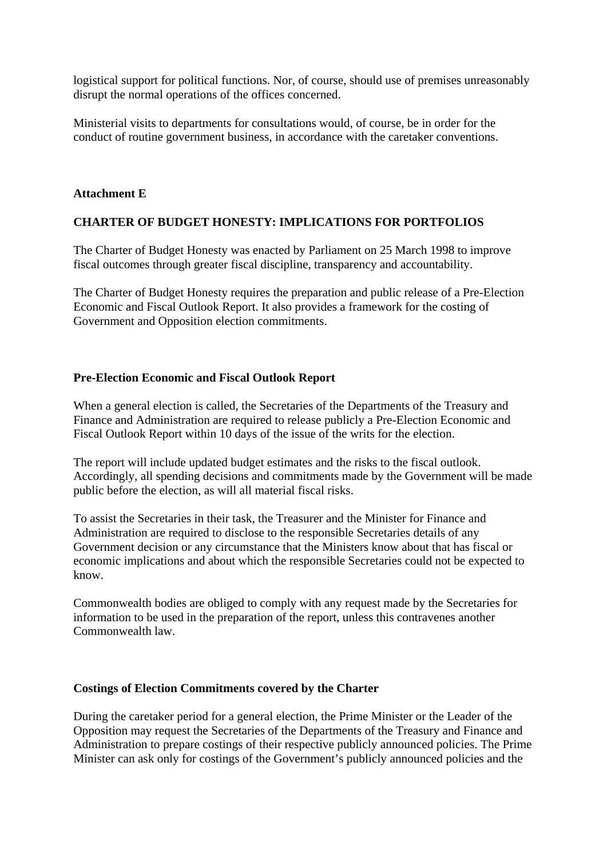logistical support for political functions. Nor, of course, should use of premises unreasonably disrupt the normal operations of the offices concerned.

Ministerial visits to departments for consultations would, of course, be in order for the conduct of routine government business, in accordance with the caretaker conventions.

#### **Attachment E**

#### **CHARTER OF BUDGET HONESTY: IMPLICATIONS FOR PORTFOLIOS**

The Charter of Budget Honesty was enacted by Parliament on 25 March 1998 to improve fiscal outcomes through greater fiscal discipline, transparency and accountability.

The Charter of Budget Honesty requires the preparation and public release of a Pre-Election Economic and Fiscal Outlook Report. It also provides a framework for the costing of Government and Opposition election commitments.

#### **Pre-Election Economic and Fiscal Outlook Report**

When a general election is called, the Secretaries of the Departments of the Treasury and Finance and Administration are required to release publicly a Pre-Election Economic and Fiscal Outlook Report within 10 days of the issue of the writs for the election.

The report will include updated budget estimates and the risks to the fiscal outlook. Accordingly, all spending decisions and commitments made by the Government will be made public before the election, as will all material fiscal risks.

To assist the Secretaries in their task, the Treasurer and the Minister for Finance and Administration are required to disclose to the responsible Secretaries details of any Government decision or any circumstance that the Ministers know about that has fiscal or economic implications and about which the responsible Secretaries could not be expected to know.

Commonwealth bodies are obliged to comply with any request made by the Secretaries for information to be used in the preparation of the report, unless this contravenes another Commonwealth law.

#### **Costings of Election Commitments covered by the Charter**

During the caretaker period for a general election, the Prime Minister or the Leader of the Opposition may request the Secretaries of the Departments of the Treasury and Finance and Administration to prepare costings of their respective publicly announced policies. The Prime Minister can ask only for costings of the Government's publicly announced policies and the